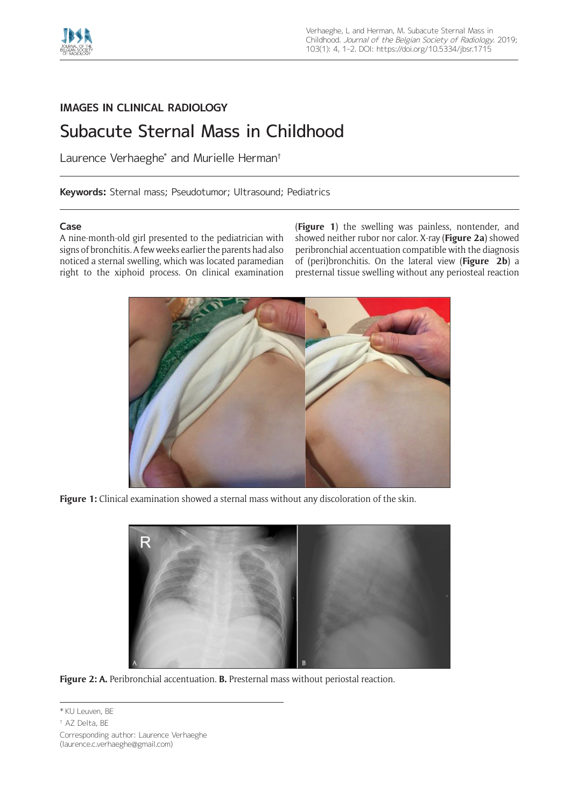

# **IMAGES IN CLINICAL RADIOLOGY**

# Subacute Sternal Mass in Childhood

Laurence Verhaeghe<sup>\*</sup> and Murielle Herman<sup>†</sup>

**Keywords:** Sternal mass; Pseudotumor; Ultrasound; Pediatrics

# **Case**

A nine-month-old girl presented to the pediatrician with signs of bronchitis. A few weeks earlier the parents had also noticed a sternal swelling, which was located paramedian right to the xiphoid process. On clinical examination

(**Figure 1**) the swelling was painless, nontender, and showed neither rubor nor calor. X-ray (**Figure 2a**) showed peribronchial accentuation compatible with the diagnosis of (peri)bronchitis. On the lateral view (**Figure 2b**) a presternal tissue swelling without any periosteal reaction



**Figure 1:** Clinical examination showed a sternal mass without any discoloration of the skin.



**Figure 2: A.** Peribronchial accentuation. **B.** Presternal mass without periostal reaction.

<sup>\*</sup> KU Leuven, BE

<sup>†</sup> AZ Delta, BE

Corresponding author: Laurence Verhaeghe [\(laurence.c.verhaeghe@gmail.com\)](mailto:laurence.c.verhaeghe@gmail.com)